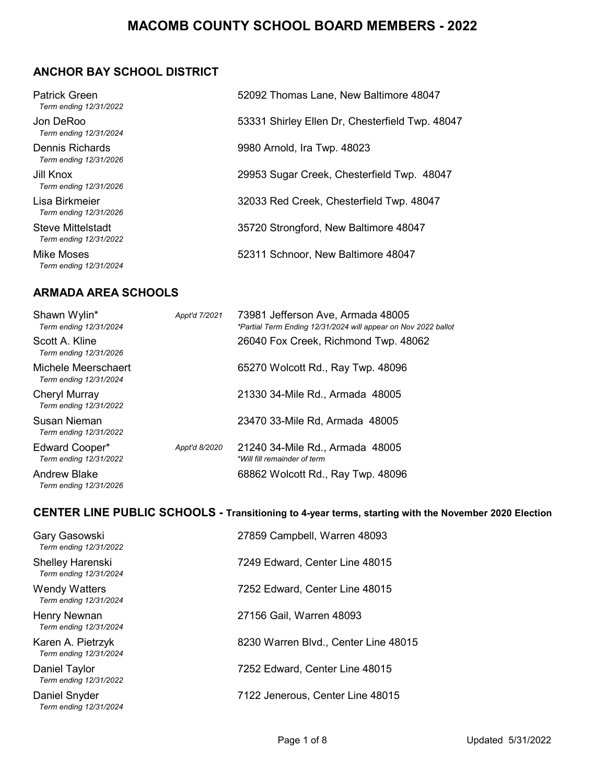## **ANCHOR BAY SCHOOL DISTRICT**

| <b>Patrick Green</b><br>Term ending 12/31/2022 | 52092 Thomas Lane, New Baltimore 48047          |
|------------------------------------------------|-------------------------------------------------|
| Jon DeRoo<br>Term ending 12/31/2024            | 53331 Shirley Ellen Dr, Chesterfield Twp. 48047 |
| Dennis Richards<br>Term ending 12/31/2026      | 9980 Arnold, Ira Twp. 48023                     |
| Jill Knox<br>Term ending 12/31/2026            | 29953 Sugar Creek, Chesterfield Twp. 48047      |
| Lisa Birkmeier<br>Term ending 12/31/2026       | 32033 Red Creek, Chesterfield Twp. 48047        |
| Steve Mittelstadt<br>Term ending 12/31/2022    | 35720 Strongford, New Baltimore 48047           |
| Mike Moses<br>Term ending 12/31/2024           | 52311 Schnoor, New Baltimore 48047              |

#### **ARMADA AREA SCHOOLS**

| Shawn Wylin*<br>Term ending 12/31/2024        | Appt'd 7/2021 | 73981 Jefferson Ave, Armada 48005<br>*Partial Term Ending 12/31/2024 will appear on Nov 2022 ballot |
|-----------------------------------------------|---------------|-----------------------------------------------------------------------------------------------------|
| Scott A. Kline<br>Term ending 12/31/2026      |               | 26040 Fox Creek, Richmond Twp. 48062                                                                |
| Michele Meerschaert<br>Term ending 12/31/2024 |               | 65270 Wolcott Rd., Ray Twp. 48096                                                                   |
| Cheryl Murray<br>Term ending 12/31/2022       |               | 21330 34-Mile Rd., Armada 48005                                                                     |
| Susan Nieman<br>Term ending 12/31/2022        |               | 23470 33-Mile Rd, Armada 48005                                                                      |
| Edward Cooper*<br>Term ending 12/31/2022      | Appt'd 8/2020 | 21240 34-Mile Rd., Armada 48005<br>*Will fill remainder of term                                     |
| <b>Andrew Blake</b><br>Term ending 12/31/2026 |               | 68862 Wolcott Rd., Ray Twp. 48096                                                                   |

# **CENTER LINE PUBLIC SCHOOLS - Transitioning to 4-year terms, starting with the November 2020 Election**

| Gary Gasowski<br>Term ending 12/31/2022        | 27859 Campbell, Warren 48093         |
|------------------------------------------------|--------------------------------------|
| Shelley Harenski<br>Term ending 12/31/2024     | 7249 Edward, Center Line 48015       |
| <b>Wendy Watters</b><br>Term ending 12/31/2024 | 7252 Edward, Center Line 48015       |
| Henry Newnan<br>Term ending 12/31/2024         | 27156 Gail, Warren 48093             |
| Karen A. Pietrzyk<br>Term ending 12/31/2024    | 8230 Warren Blvd., Center Line 48015 |
| Daniel Taylor<br>Term ending 12/31/2022        | 7252 Edward, Center Line 48015       |
| Daniel Snyder<br>Term ending 12/31/2024        | 7122 Jenerous, Center Line 48015     |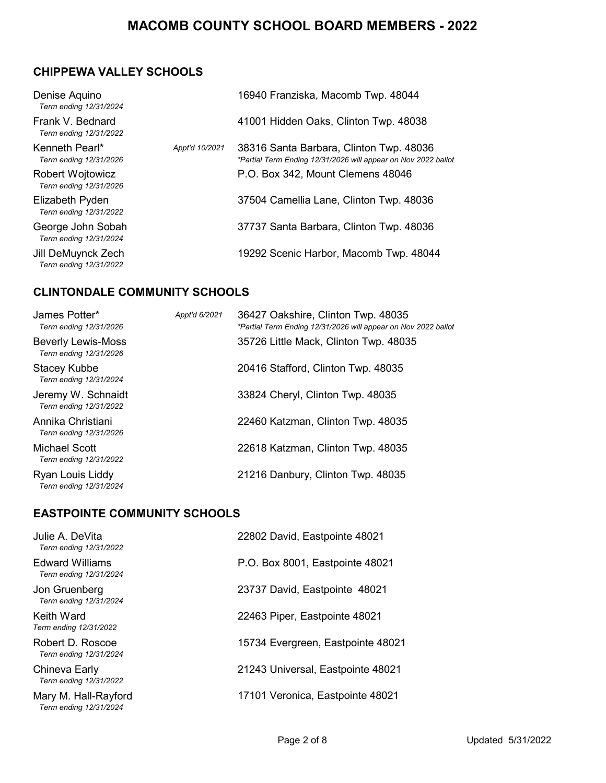## **CHIPPEWA VALLEY SCHOOLS**

| Denise Aquino<br>Term ending 12/31/2024           |                | 16940 Franziska, Macomb Twp. 48044                                                                        |
|---------------------------------------------------|----------------|-----------------------------------------------------------------------------------------------------------|
| Frank V. Bednard<br>Term ending 12/31/2022        |                | 41001 Hidden Oaks, Clinton Twp. 48038                                                                     |
| Kenneth Pearl*<br>Term ending 12/31/2026          | Appt'd 10/2021 | 38316 Santa Barbara, Clinton Twp. 48036<br>*Partial Term Ending 12/31/2026 will appear on Nov 2022 ballot |
| <b>Robert Wojtowicz</b><br>Term ending 12/31/2026 |                | P.O. Box 342, Mount Clemens 48046                                                                         |
| Elizabeth Pyden<br>Term ending 12/31/2022         |                | 37504 Camellia Lane, Clinton Twp. 48036                                                                   |
| George John Sobah<br>Term ending 12/31/2024       |                | 37737 Santa Barbara, Clinton Twp. 48036                                                                   |
| Jill DeMuynck Zech<br>Term ending 12/31/2022      |                | 19292 Scenic Harbor, Macomb Twp. 48044                                                                    |

## **CLINTONDALE COMMUNITY SCHOOLS**

| James Potter*<br>Term ending 12/31/2026      | Appt'd 6/2021 | 36427 Oakshire, Clinton Twp. 48035<br>*Partial Term Ending 12/31/2026 will appear on Nov 2022 ballot |
|----------------------------------------------|---------------|------------------------------------------------------------------------------------------------------|
| Beverly Lewis-Moss<br>Term ending 12/31/2026 |               | 35726 Little Mack, Clinton Twp. 48035                                                                |
| Stacey Kubbe<br>Term ending 12/31/2024       |               | 20416 Stafford, Clinton Twp. 48035                                                                   |
| Jeremy W. Schnaidt<br>Term ending 12/31/2022 |               | 33824 Cheryl, Clinton Twp. 48035                                                                     |
| Annika Christiani<br>Term ending 12/31/2026  |               | 22460 Katzman, Clinton Twp. 48035                                                                    |
| Michael Scott<br>Term ending 12/31/2022      |               | 22618 Katzman, Clinton Twp. 48035                                                                    |
| Ryan Louis Liddy<br>Term ending 12/31/2024   |               | 21216 Danbury, Clinton Twp. 48035                                                                    |

## **EASTPOINTE COMMUNITY SCHOOLS**

| Julie A. DeVita<br>Term ending 12/31/2022        | 22802 David, Eastpointe 48021     |
|--------------------------------------------------|-----------------------------------|
| <b>Edward Williams</b><br>Term ending 12/31/2024 | P.O. Box 8001, Eastpointe 48021   |
| Jon Gruenberg<br>Term ending 12/31/2024          | 23737 David, Eastpointe 48021     |
| Keith Ward<br>Term ending 12/31/2022             | 22463 Piper, Eastpointe 48021     |
| Robert D. Roscoe<br>Term ending 12/31/2024       | 15734 Evergreen, Eastpointe 48021 |
| Chineva Early<br>Term ending 12/31/2022          | 21243 Universal, Eastpointe 48021 |
| Mary M. Hall-Rayford<br>Term ending 12/31/2024   | 17101 Veronica, Eastpointe 48021  |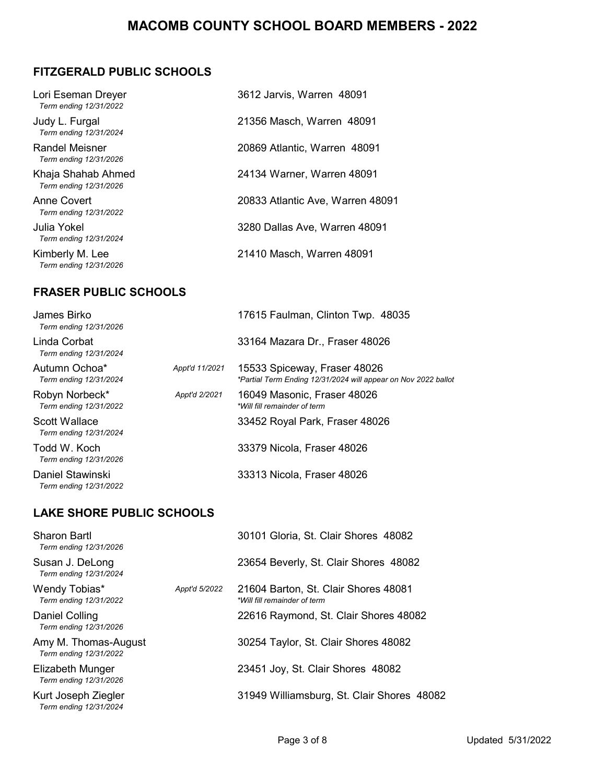# **FITZGERALD PUBLIC SCHOOLS**

| Lori Eseman Dreyer<br>Term ending 12/31/2022 | 3612 Jarvis, Warren 48091        |
|----------------------------------------------|----------------------------------|
| Judy L. Furgal<br>Term ending 12/31/2024     | 21356 Masch, Warren 48091        |
| Randel Meisner<br>Term ending 12/31/2026     | 20869 Atlantic, Warren 48091     |
| Khaja Shahab Ahmed<br>Term ending 12/31/2026 | 24134 Warner, Warren 48091       |
| Anne Covert<br>Term ending 12/31/2022        | 20833 Atlantic Ave, Warren 48091 |
| Julia Yokel<br>Term ending 12/31/2024        | 3280 Dallas Ave, Warren 48091    |
| Kimberly M. Lee<br>Term ending 12/31/2026    | 21410 Masch, Warren 48091        |

## **FRASER PUBLIC SCHOOLS**

| James Birko<br>Term ending 12/31/2026      |                | 17615 Faulman, Clinton Twp. 48035                                                              |
|--------------------------------------------|----------------|------------------------------------------------------------------------------------------------|
| Linda Corbat<br>Term ending 12/31/2024     |                | 33164 Mazara Dr., Fraser 48026                                                                 |
| Autumn Ochoa*<br>Term ending 12/31/2024    | Appt'd 11/2021 | 15533 Spiceway, Fraser 48026<br>*Partial Term Ending 12/31/2024 will appear on Nov 2022 ballot |
| Robyn Norbeck*<br>Term ending 12/31/2022   | Appt'd 2/2021  | 16049 Masonic, Fraser 48026<br>*Will fill remainder of term                                    |
| Scott Wallace<br>Term ending 12/31/2024    |                | 33452 Royal Park, Fraser 48026                                                                 |
| Todd W. Koch<br>Term ending 12/31/2026     |                | 33379 Nicola, Fraser 48026                                                                     |
| Daniel Stawinski<br>Term ending 12/31/2022 |                | 33313 Nicola, Fraser 48026                                                                     |

#### **LAKE SHORE PUBLIC SCHOOLS**

| Sharon Bartl<br>Term ending 12/31/2026         |               | 30101 Gloria, St. Clair Shores 48082                                 |
|------------------------------------------------|---------------|----------------------------------------------------------------------|
| Susan J. DeLong<br>Term ending 12/31/2024      |               | 23654 Beverly, St. Clair Shores 48082                                |
| Wendy Tobias*<br>Term ending 12/31/2022        | Appt'd 5/2022 | 21604 Barton, St. Clair Shores 48081<br>*Will fill remainder of term |
| Daniel Colling<br>Term ending 12/31/2026       |               | 22616 Raymond, St. Clair Shores 48082                                |
| Amy M. Thomas-August<br>Term ending 12/31/2022 |               | 30254 Taylor, St. Clair Shores 48082                                 |
| Elizabeth Munger<br>Term ending 12/31/2026     |               | 23451 Joy, St. Clair Shores 48082                                    |
| Kurt Joseph Ziegler<br>Term ending 12/31/2024  |               | 31949 Williamsburg, St. Clair Shores 48082                           |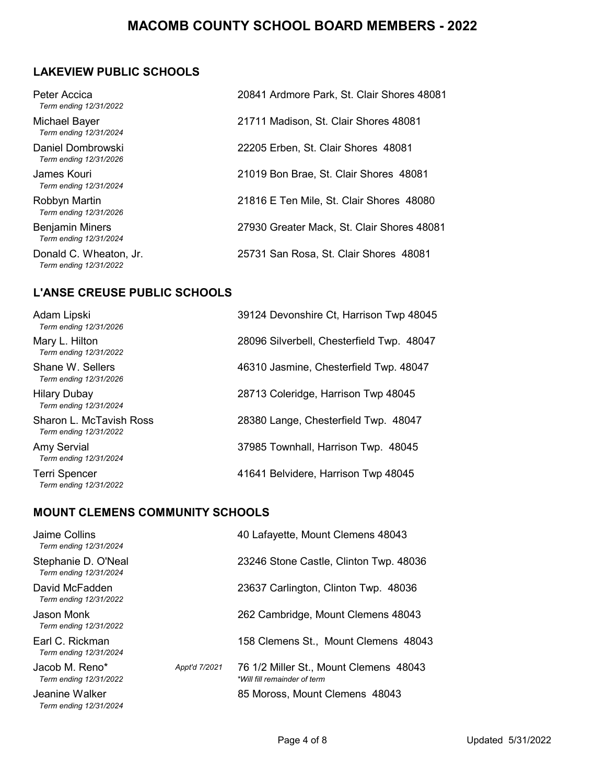# **LAKEVIEW PUBLIC SCHOOLS**

| Peter Accica<br>Term ending 12/31/2022           | 20841 Ardmore Park, St. Clair Shores 48081 |
|--------------------------------------------------|--------------------------------------------|
| Michael Bayer<br>Term ending 12/31/2024          | 21711 Madison, St. Clair Shores 48081      |
| Daniel Dombrowski<br>Term ending 12/31/2026      | 22205 Erben, St. Clair Shores 48081        |
| James Kouri<br>Term ending 12/31/2024            | 21019 Bon Brae, St. Clair Shores 48081     |
| Robbyn Martin<br>Term ending 12/31/2026          | 21816 E Ten Mile, St. Clair Shores 48080   |
| <b>Benjamin Miners</b><br>Term ending 12/31/2024 | 27930 Greater Mack, St. Clair Shores 48081 |
| Donald C. Wheaton, Jr.<br>Term ending 12/31/2022 | 25731 San Rosa, St. Clair Shores 48081     |

#### **L'ANSE CREUSE PUBLIC SCHOOLS**

| Adam Lipski<br>Term ending 12/31/2026             | 39124 Devonshire Ct, Harrison Twp 48045   |
|---------------------------------------------------|-------------------------------------------|
| Mary L. Hilton<br>Term ending 12/31/2022          | 28096 Silverbell, Chesterfield Twp. 48047 |
| Shane W. Sellers<br>Term ending 12/31/2026        | 46310 Jasmine, Chesterfield Twp. 48047    |
| <b>Hilary Dubay</b><br>Term ending 12/31/2024     | 28713 Coleridge, Harrison Twp 48045       |
| Sharon L. McTavish Ross<br>Term ending 12/31/2022 | 28380 Lange, Chesterfield Twp. 48047      |
| Amy Servial<br>Term ending 12/31/2024             | 37985 Townhall, Harrison Twp. 48045       |
| Terri Spencer<br>Term ending 12/31/2022           | 41641 Belvidere, Harrison Twp 48045       |

## **MOUNT CLEMENS COMMUNITY SCHOOLS**

| Jaime Collins<br>Term ending 12/31/2024       |               | 40 Lafayette, Mount Clemens 48043                                      |
|-----------------------------------------------|---------------|------------------------------------------------------------------------|
| Stephanie D. O'Neal<br>Term ending 12/31/2024 |               | 23246 Stone Castle, Clinton Twp. 48036                                 |
| David McFadden<br>Term ending 12/31/2022      |               | 23637 Carlington, Clinton Twp. 48036                                   |
| Jason Monk<br>Term ending 12/31/2022          |               | 262 Cambridge, Mount Clemens 48043                                     |
| Earl C. Rickman<br>Term ending 12/31/2024     |               | 158 Clemens St., Mount Clemens 48043                                   |
| Jacob M. Reno*<br>Term ending 12/31/2022      | Appt'd 7/2021 | 76 1/2 Miller St., Mount Clemens 48043<br>*Will fill remainder of term |
| Jeanine Walker<br>Term ending 12/31/2024      |               | 85 Moross, Mount Clemens 48043                                         |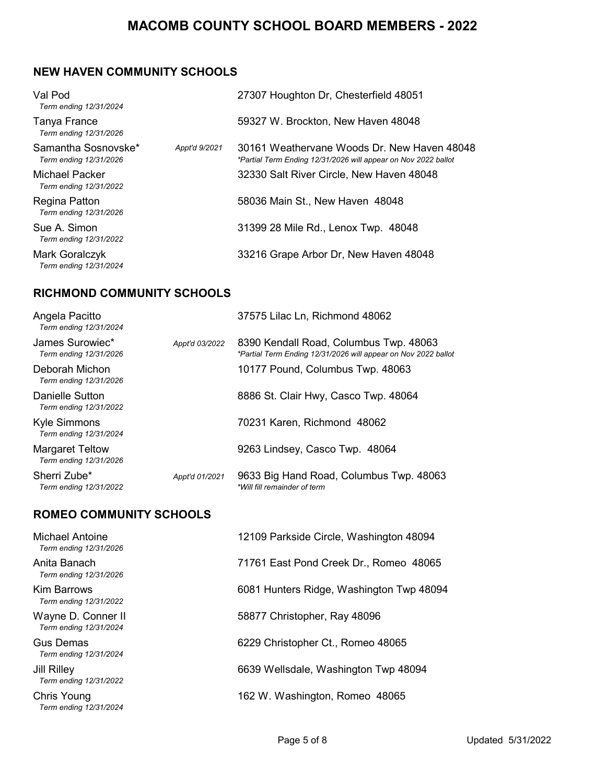#### **NEW HAVEN COMMUNITY SCHOOLS**

| Val Pod<br>Term ending 12/31/2024             |               | 27307 Houghton Dr, Chesterfield 48051                                                                         |
|-----------------------------------------------|---------------|---------------------------------------------------------------------------------------------------------------|
| Tanya France<br>Term ending 12/31/2026        |               | 59327 W. Brockton, New Haven 48048                                                                            |
| Samantha Sosnovske*<br>Term ending 12/31/2026 | Appt'd 9/2021 | 30161 Weathervane Woods Dr. New Haven 48048<br>*Partial Term Ending 12/31/2026 will appear on Nov 2022 ballot |
| Michael Packer<br>Term ending 12/31/2022      |               | 32330 Salt River Circle, New Haven 48048                                                                      |
| Regina Patton<br>Term ending 12/31/2026       |               | 58036 Main St., New Haven 48048                                                                               |
| Sue A. Simon<br>Term ending 12/31/2022        |               | 31399 28 Mile Rd., Lenox Twp. 48048                                                                           |
| Mark Goralczyk<br>Term ending 12/31/2024      |               | 33216 Grape Arbor Dr, New Haven 48048                                                                         |

# **RICHMOND COMMUNITY SCHOOLS**

| Angela Pacitto<br>Term ending 12/31/2024         |                | 37575 Lilac Ln, Richmond 48062                                                                           |
|--------------------------------------------------|----------------|----------------------------------------------------------------------------------------------------------|
| James Surowiec*<br>Term ending 12/31/2026        | Appt'd 03/2022 | 8390 Kendall Road, Columbus Twp. 48063<br>*Partial Term Ending 12/31/2026 will appear on Nov 2022 ballot |
| Deborah Michon<br>Term ending 12/31/2026         |                | 10177 Pound, Columbus Twp. 48063                                                                         |
| Danielle Sutton<br>Term ending 12/31/2022        |                | 8886 St. Clair Hwy, Casco Twp. 48064                                                                     |
| Kyle Simmons<br>Term ending 12/31/2024           |                | 70231 Karen, Richmond 48062                                                                              |
| <b>Margaret Teltow</b><br>Term ending 12/31/2026 |                | 9263 Lindsey, Casco Twp. 48064                                                                           |
| Sherri Zube*<br>Term ending 12/31/2022           | Appt'd 01/2021 | 9633 Big Hand Road, Columbus Twp. 48063<br>*Will fill remainder of term                                  |

# **ROMEO COMMUNITY SCHOOLS**

| <b>Michael Antoine</b><br>Term ending 12/31/2026 | 12109 Parkside Circle, Washington 48094  |
|--------------------------------------------------|------------------------------------------|
| Anita Banach<br>Term ending 12/31/2026           | 71761 East Pond Creek Dr., Romeo 48065   |
| <b>Kim Barrows</b><br>Term ending 12/31/2022     | 6081 Hunters Ridge, Washington Twp 48094 |
| Wayne D. Conner II<br>Term ending 12/31/2024     | 58877 Christopher, Ray 48096             |
| Gus Demas<br>Term ending 12/31/2024              | 6229 Christopher Ct., Romeo 48065        |
| <b>Jill Rilley</b><br>Term ending 12/31/2022     | 6639 Wellsdale, Washington Twp 48094     |
| Chris Young<br>Term ending 12/31/2024            | 162 W. Washington, Romeo 48065           |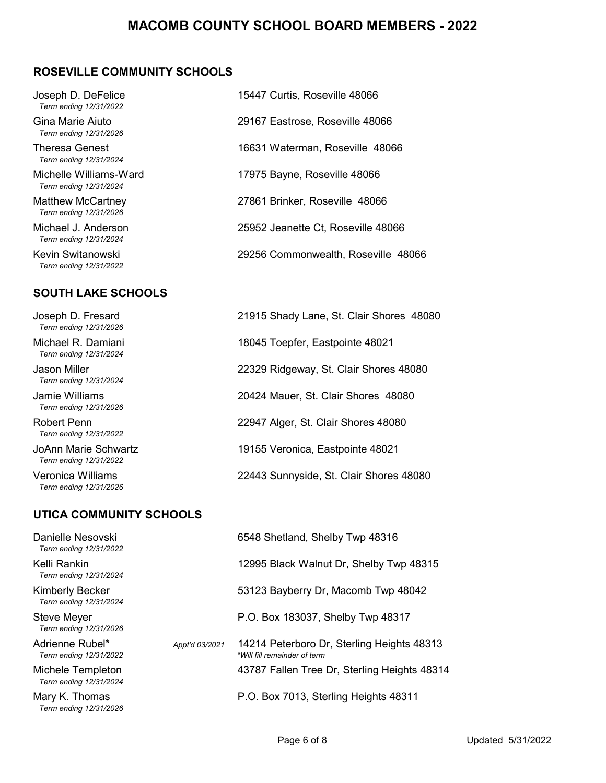#### **ROSEVILLE COMMUNITY SCHOOLS**

| Joseph D. DeFelice<br>Term ending 12/31/2022     | 15447 Curtis, Roseville 48066       |
|--------------------------------------------------|-------------------------------------|
| Gina Marie Aiuto<br>Term ending 12/31/2026       | 29167 Eastrose, Roseville 48066     |
| Theresa Genest<br>Term ending 12/31/2024         | 16631 Waterman, Roseville 48066     |
| Michelle Williams-Ward<br>Term ending 12/31/2024 | 17975 Bayne, Roseville 48066        |
| Matthew McCartney<br>Term ending 12/31/2026      | 27861 Brinker, Roseville 48066      |
| Michael J. Anderson<br>Term ending 12/31/2024    | 25952 Jeanette Ct, Roseville 48066  |
| Kevin Switanowski<br>Term ending 12/31/2022      | 29256 Commonwealth, Roseville 48066 |
| <b>SOUTH LAKE SCHOOLS</b>                        |                                     |

Joseph D. Fresard 21915 Shady Lane, St. Clair Shores 48080  *Term ending 12/31/2026*

Michael R. Damiani 18045 Toepfer, Eastpointe 48021  *Term ending 12/31/2024*

Jason Miller 22329 Ridgeway, St. Clair Shores 48080  *Term ending 12/31/2024*

 *Term ending 12/31/2026*

 *Term ending 12/31/2022*

 *Term ending 12/31/2022*

 *Term ending 12/31/2026*

# **UTICA COMMUNITY SCHOOLS**

Danielle Nesovski 6548 Shetland, Shelby Twp 48316  *Term ending 12/31/2022*

 *Term ending 12/31/2026*

# Jamie Williams 20424 Mauer, St. Clair Shores 48080 Robert Penn 22947 Alger, St. Clair Shores 48080 JoAnn Marie Schwartz 19155 Veronica, Eastpointe 48021 Veronica Williams 22443 Sunnyside, St. Clair Shores 48080

| <b>I GIIII GIIUIIIU 12/JII/2022</b>              |                |                                                                            |
|--------------------------------------------------|----------------|----------------------------------------------------------------------------|
| Kelli Rankin<br>Term ending 12/31/2024           |                | 12995 Black Walnut Dr, Shelby Twp 48315                                    |
| <b>Kimberly Becker</b><br>Term ending 12/31/2024 |                | 53123 Bayberry Dr, Macomb Twp 48042                                        |
| <b>Steve Meyer</b><br>Term ending 12/31/2026     |                | P.O. Box 183037, Shelby Twp 48317                                          |
| Adrienne Rubel*<br>Term ending 12/31/2022        | Appt'd 03/2021 | 14214 Peterboro Dr, Sterling Heights 48313<br>*Will fill remainder of term |
| Michele Templeton<br>Term ending 12/31/2024      |                | 43787 Fallen Tree Dr, Sterling Heights 48314                               |
| Mary K. Thomas                                   |                | P.O. Box 7013, Sterling Heights 48311                                      |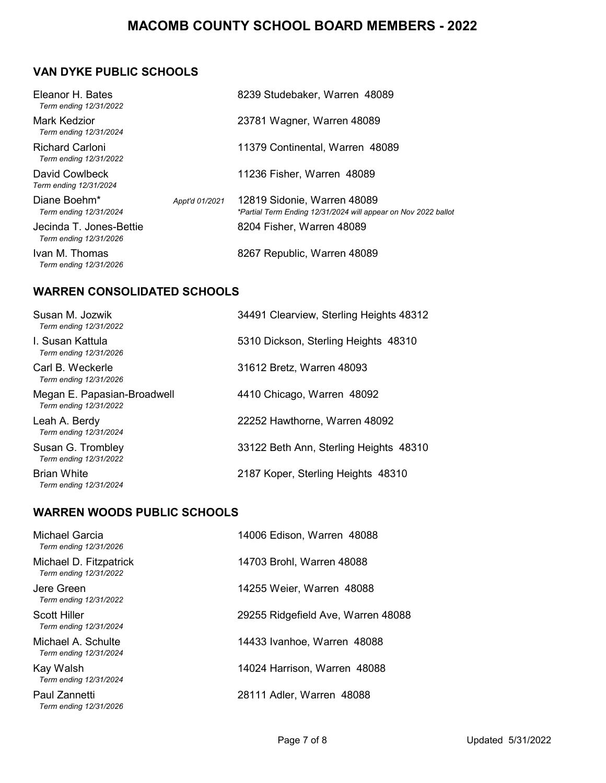# **VAN DYKE PUBLIC SCHOOLS**

| Eleanor H. Bates<br>Term ending 12/31/2022        |                | 8239 Studebaker, Warren 48089                                                                 |
|---------------------------------------------------|----------------|-----------------------------------------------------------------------------------------------|
| Mark Kedzior<br>Term ending 12/31/2024            |                | 23781 Wagner, Warren 48089                                                                    |
| Richard Carloni<br>Term ending 12/31/2022         |                | 11379 Continental, Warren 48089                                                               |
| David Cowlbeck<br>Term ending 12/31/2024          |                | 11236 Fisher, Warren 48089                                                                    |
| Diane Boehm*<br>Term ending 12/31/2024            | Appt'd 01/2021 | 12819 Sidonie, Warren 48089<br>*Partial Term Ending 12/31/2024 will appear on Nov 2022 ballot |
| Jecinda T. Jones-Bettie<br>Term ending 12/31/2026 |                | 8204 Fisher, Warren 48089                                                                     |
| Ivan M. Thomas<br>Term ending 12/31/2026          |                | 8267 Republic, Warren 48089                                                                   |

#### **WARREN CONSOLIDATED SCHOOLS**

| Susan M. Jozwik<br>Term ending 12/31/2022             | 34491 Clearview, Sterling Heights 48312 |
|-------------------------------------------------------|-----------------------------------------|
| <u>L. Susan Kattula</u><br>Term ending 12/31/2026     | 5310 Dickson, Sterling Heights 48310    |
| Carl B. Weckerle<br>Term ending 12/31/2026            | 31612 Bretz, Warren 48093               |
| Megan E. Papasian-Broadwell<br>Term ending 12/31/2022 | 4410 Chicago, Warren 48092              |
| Leah A. Berdy<br>Term ending 12/31/2024               | 22252 Hawthorne, Warren 48092           |
| Susan G. Trombley<br>Term ending 12/31/2022           | 33122 Beth Ann, Sterling Heights 48310  |
| <b>Brian White</b><br>Term ending 12/31/2024          | 2187 Koper, Sterling Heights 48310      |

#### **WARREN WOODS PUBLIC SCHOOLS**

| Michael Garcia<br>Term ending 12/31/2026         | 14006 Edison, Warren 48088         |
|--------------------------------------------------|------------------------------------|
| Michael D. Fitzpatrick<br>Term ending 12/31/2022 | 14703 Brohl, Warren 48088          |
| Jere Green<br>Term ending 12/31/2022             | 14255 Weier, Warren 48088          |
| Scott Hiller<br>Term ending 12/31/2024           | 29255 Ridgefield Ave, Warren 48088 |
| Michael A. Schulte<br>Term ending 12/31/2024     | 14433 Ivanhoe, Warren 48088        |
| Kay Walsh<br>Term ending 12/31/2024              | 14024 Harrison, Warren 48088       |
| Paul Zannetti<br>Term ending 12/31/2026          | 28111 Adler, Warren 48088          |